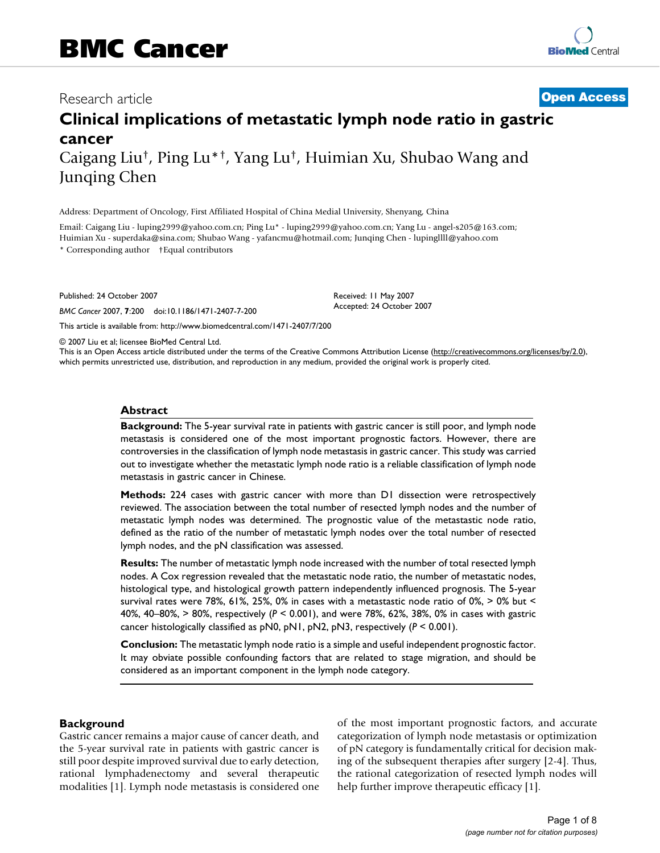## Research article **[Open Access](http://www.biomedcentral.com/info/about/charter/)**

# **Clinical implications of metastatic lymph node ratio in gastric cancer**

Caigang Liu†, Ping Lu\*†, Yang Lu†, Huimian Xu, Shubao Wang and Junqing Chen

Address: Department of Oncology, First Affiliated Hospital of China Medial University, Shenyang, China

Email: Caigang Liu - luping2999@yahoo.com.cn; Ping Lu\* - luping2999@yahoo.com.cn; Yang Lu - angel-s205@163.com; Huimian Xu - superdaka@sina.com; Shubao Wang - yafancmu@hotmail.com; Junqing Chen - lupingllll@yahoo.com \* Corresponding author †Equal contributors

Published: 24 October 2007

*BMC Cancer* 2007, **7**:200 doi:10.1186/1471-2407-7-200

[This article is available from: http://www.biomedcentral.com/1471-2407/7/200](http://www.biomedcentral.com/1471-2407/7/200)

© 2007 Liu et al; licensee BioMed Central Ltd.

This is an Open Access article distributed under the terms of the Creative Commons Attribution License [\(http://creativecommons.org/licenses/by/2.0\)](http://creativecommons.org/licenses/by/2.0), which permits unrestricted use, distribution, and reproduction in any medium, provided the original work is properly cited.

Received: 11 May 2007 Accepted: 24 October 2007

#### **Abstract**

**Background:** The 5-year survival rate in patients with gastric cancer is still poor, and lymph node metastasis is considered one of the most important prognostic factors. However, there are controversies in the classification of lymph node metastasis in gastric cancer. This study was carried out to investigate whether the metastatic lymph node ratio is a reliable classification of lymph node metastasis in gastric cancer in Chinese.

**Methods:** 224 cases with gastric cancer with more than D1 dissection were retrospectively reviewed. The association between the total number of resected lymph nodes and the number of metastatic lymph nodes was determined. The prognostic value of the metastastic node ratio, defined as the ratio of the number of metastatic lymph nodes over the total number of resected lymph nodes, and the pN classification was assessed.

**Results:** The number of metastatic lymph node increased with the number of total resected lymph nodes. A Cox regression revealed that the metastatic node ratio, the number of metastatic nodes, histological type, and histological growth pattern independently influenced prognosis. The 5-year survival rates were 78%, 61%, 25%, 0% in cases with a metastastic node ratio of 0%, > 0% but < 40%, 40–80%, > 80%, respectively (*P* < 0.001), and were 78%, 62%, 38%, 0% in cases with gastric cancer histologically classified as pN0, pN1, pN2, pN3, respectively (*P* < 0.001).

**Conclusion:** The metastatic lymph node ratio is a simple and useful independent prognostic factor. It may obviate possible confounding factors that are related to stage migration, and should be considered as an important component in the lymph node category.

#### **Background**

Gastric cancer remains a major cause of cancer death, and the 5-year survival rate in patients with gastric cancer is still poor despite improved survival due to early detection, rational lymphadenectomy and several therapeutic modalities [1]. Lymph node metastasis is considered one of the most important prognostic factors, and accurate categorization of lymph node metastasis or optimization of pN category is fundamentally critical for decision making of the subsequent therapies after surgery [2-4]. Thus, the rational categorization of resected lymph nodes will help further improve therapeutic efficacy [1].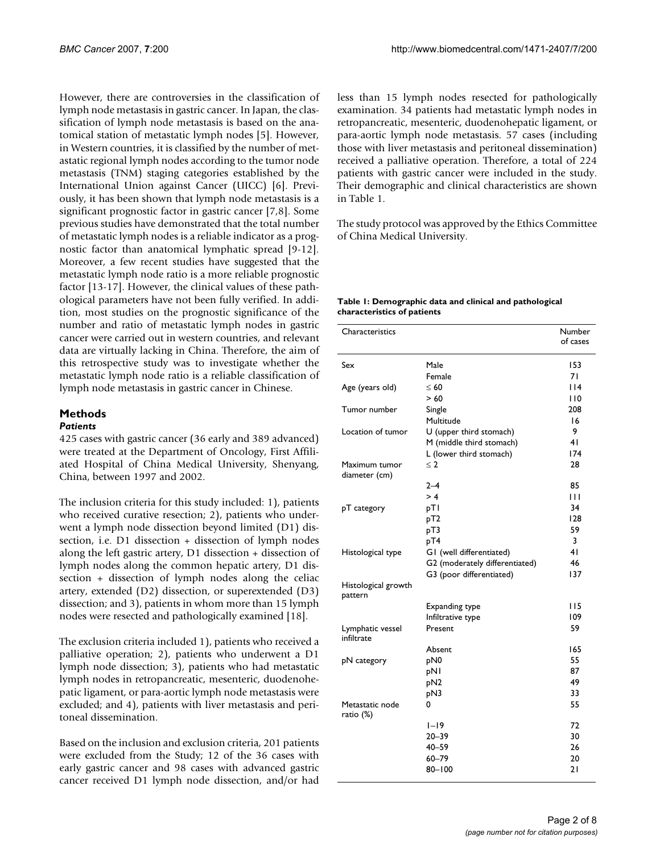However, there are controversies in the classification of lymph node metastasis in gastric cancer. In Japan, the classification of lymph node metastasis is based on the anatomical station of metastatic lymph nodes [5]. However, in Western countries, it is classified by the number of metastatic regional lymph nodes according to the tumor node metastasis (TNM) staging categories established by the International Union against Cancer (UICC) [6]. Previously, it has been shown that lymph node metastasis is a significant prognostic factor in gastric cancer [7,8]. Some previous studies have demonstrated that the total number of metastatic lymph nodes is a reliable indicator as a prognostic factor than anatomical lymphatic spread [9-12]. Moreover, a few recent studies have suggested that the metastatic lymph node ratio is a more reliable prognostic factor [13-17]. However, the clinical values of these pathological parameters have not been fully verified. In addition, most studies on the prognostic significance of the number and ratio of metastatic lymph nodes in gastric cancer were carried out in western countries, and relevant data are virtually lacking in China. Therefore, the aim of this retrospective study was to investigate whether the metastatic lymph node ratio is a reliable classification of lymph node metastasis in gastric cancer in Chinese.

#### **Methods**

#### *Patients*

425 cases with gastric cancer (36 early and 389 advanced) were treated at the Department of Oncology, First Affiliated Hospital of China Medical University, Shenyang, China, between 1997 and 2002.

The inclusion criteria for this study included: 1), patients who received curative resection; 2), patients who underwent a lymph node dissection beyond limited (D1) dissection, i.e. D1 dissection + dissection of lymph nodes along the left gastric artery, D1 dissection + dissection of lymph nodes along the common hepatic artery, D1 dissection + dissection of lymph nodes along the celiac artery, extended (D2) dissection, or superextended (D3) dissection; and 3), patients in whom more than 15 lymph nodes were resected and pathologically examined [18].

The exclusion criteria included 1), patients who received a palliative operation; 2), patients who underwent a D1 lymph node dissection; 3), patients who had metastatic lymph nodes in retropancreatic, mesenteric, duodenohepatic ligament, or para-aortic lymph node metastasis were excluded; and 4), patients with liver metastasis and peritoneal dissemination.

Based on the inclusion and exclusion criteria, 201 patients were excluded from the Study; 12 of the 36 cases with early gastric cancer and 98 cases with advanced gastric cancer received D1 lymph node dissection, and/or had

less than 15 lymph nodes resected for pathologically examination. 34 patients had metastatic lymph nodes in retropancreatic, mesenteric, duodenohepatic ligament, or para-aortic lymph node metastasis. 57 cases (including those with liver metastasis and peritoneal dissemination) received a palliative operation. Therefore, a total of 224 patients with gastric cancer were included in the study. Their demographic and clinical characteristics are shown in Table 1.

The study protocol was approved by the Ethics Committee of China Medical University.

#### **Table 1: Demographic data and clinical and pathological characteristics of patients**

| Characteristics                |                                | Number<br>of cases |
|--------------------------------|--------------------------------|--------------------|
| Sex                            | Male                           | 153                |
|                                | Female                         | 71                 |
| Age (years old)                | $\leq 60$                      | 114                |
|                                | > 60                           | 110                |
| Tumor number                   | Single                         | 208                |
|                                | Multitude                      | 16                 |
| Location of tumor              | U (upper third stomach)        | 9                  |
|                                | M (middle third stomach)       | 41                 |
|                                | L (lower third stomach)        | 174                |
| Maximum tumor                  | $\leq$ 2                       | 28                 |
| diameter (cm)                  |                                |                    |
|                                | $2 - 4$                        | 85                 |
|                                | > 4                            | $\mathbf{H}$       |
| pT category                    | pTI                            | 34                 |
|                                | pT2                            | 128                |
|                                | pT3                            | 59                 |
|                                | pT4                            | 3                  |
| Histological type              | GI (well differentiated)       | 4 <sub>1</sub>     |
|                                | G2 (moderately differentiated) | 46                 |
|                                | G3 (poor differentiated)       | 137                |
| Histological growth<br>pattern |                                |                    |
|                                | Expanding type                 | 115                |
|                                | Infiltrative type              | 109                |
| Lymphatic vessel<br>infiltrate | Present                        | 59                 |
|                                | Absent                         | 165                |
| pN category                    | pN <sub>0</sub>                | 55                 |
|                                | pNI                            | 87                 |
|                                | pN <sub>2</sub>                | 49                 |
|                                | pN3                            | 33                 |
| Metastatic node<br>ratio (%)   | 0                              | 55                 |
|                                | $1 - 19$                       | 72                 |
|                                | $20 - 39$                      | 30                 |
|                                | $40 - 59$                      | 26                 |
|                                | $60 - 79$                      | 20                 |
|                                | $80 - 100$                     | 21                 |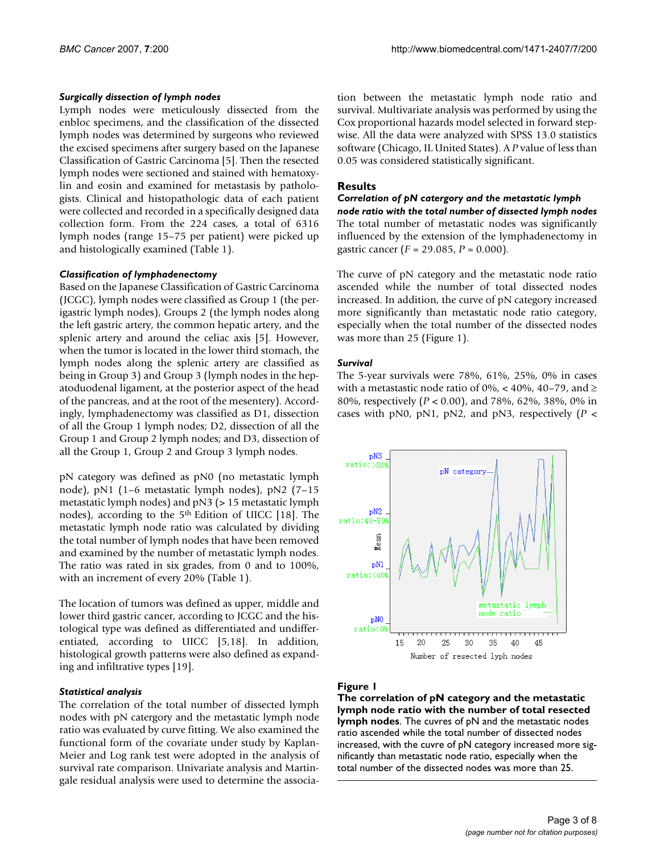#### *Surgically dissection of lymph nodes*

Lymph nodes were meticulously dissected from the enbloc specimens, and the classification of the dissected lymph nodes was determined by surgeons who reviewed the excised specimens after surgery based on the Japanese Classification of Gastric Carcinoma [5]. Then the resected lymph nodes were sectioned and stained with hematoxylin and eosin and examined for metastasis by pathologists. Clinical and histopathologic data of each patient were collected and recorded in a specifically designed data collection form. From the 224 cases, a total of 6316 lymph nodes (range 15–75 per patient) were picked up and histologically examined (Table 1).

#### *Classification of lymphadenectomy*

Based on the Japanese Classification of Gastric Carcinoma (JCGC), lymph nodes were classified as Group 1 (the perigastric lymph nodes), Groups 2 (the lymph nodes along the left gastric artery, the common hepatic artery, and the splenic artery and around the celiac axis [5]. However, when the tumor is located in the lower third stomach, the lymph nodes along the splenic artery are classified as being in Group 3) and Group 3 (lymph nodes in the hepatoduodenal ligament, at the posterior aspect of the head of the pancreas, and at the root of the mesentery). Accordingly, lymphadenectomy was classified as D1, dissection of all the Group 1 lymph nodes; D2, dissection of all the Group 1 and Group 2 lymph nodes; and D3, dissection of all the Group 1, Group 2 and Group 3 lymph nodes.

pN category was defined as pN0 (no metastatic lymph node), pN1 (1–6 metastatic lymph nodes), pN2 (7–15 metastatic lymph nodes) and pN3 (> 15 metastatic lymph nodes), according to the 5th Edition of UICC [18]. The metastatic lymph node ratio was calculated by dividing the total number of lymph nodes that have been removed and examined by the number of metastatic lymph nodes. The ratio was rated in six grades, from 0 and to 100%, with an increment of every 20% (Table 1).

The location of tumors was defined as upper, middle and lower third gastric cancer, according to JCGC and the histological type was defined as differentiated and undifferentiated, according to UICC [5,18]. In addition, histological growth patterns were also defined as expanding and infiltrative types [19].

#### *Statistical analysis*

The correlation of the total number of dissected lymph nodes with pN catergory and the metastatic lymph node ratio was evaluated by curve fitting. We also examined the functional form of the covariate under study by Kaplan-Meier and Log rank test were adopted in the analysis of survival rate comparison. Univariate analysis and Martingale residual analysis were used to determine the association between the metastatic lymph node ratio and survival. Multivariate analysis was performed by using the Cox proportional hazards model selected in forward stepwise. All the data were analyzed with SPSS 13.0 statistics software (Chicago, IL United States). A *P* value of less than 0.05 was considered statistically significant.

#### **Results**

#### *Correlation of pN catergory and the metastatic lymph node ratio with the total number of dissected lymph nodes* The total number of metastatic nodes was significantly influenced by the extension of the lymphadenectomy in gastric cancer (*F* = 29.085, *P* = 0.000).

The curve of pN category and the metastatic node ratio ascended while the number of total dissected nodes increased. In addition, the curve of pN category increased more significantly than metastatic node ratio category, especially when the total number of the dissected nodes was more than 25 (Figure 1).

#### *Survival*

The 5-year survivals were 78%, 61%, 25%, 0% in cases with a metastastic node ratio of 0%, < 40%, 40–79, and  $\ge$ 80%, respectively (*P* < 0.00), and 78%, 62%, 38%, 0% in cases with pN0, pN1, pN2, and pN3, respectively (*P* <



### Figure 1

**The correlation of pN category and the metastatic lymph node ratio with the number of total resected lymph nodes**. The cuvres of pN and the metastatic nodes ratio ascended while the total number of dissected nodes increased, with the cuvre of pN category increased more significantly than metastatic node ratio, especially when the total number of the dissected nodes was more than 25.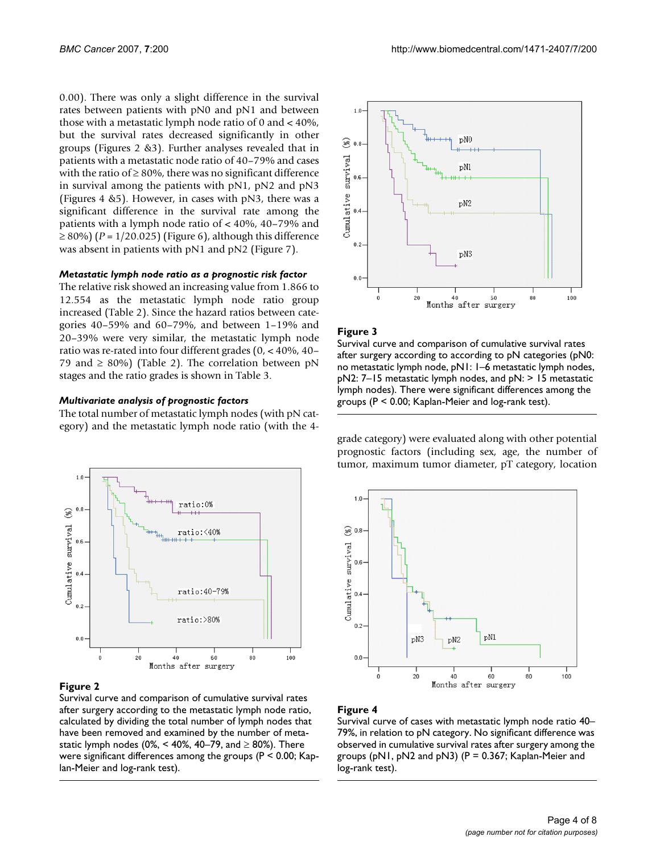0.00). There was only a slight difference in the survival rates between patients with pN0 and pN1 and between those with a metastatic lymph node ratio of 0 and < 40%, but the survival rates decreased significantly in other groups (Figures 2 &3). Further analyses revealed that in patients with a metastatic node ratio of 40–79% and cases with the ratio of  $\geq 80\%$ , there was no significant difference in survival among the patients with pN1, pN2 and pN3 (Figures 4 &5). However, in cases with pN3, there was a significant difference in the survival rate among the patients with a lymph node ratio of < 40%, 40–79% and ≥ 80%) (*P* = 1/20.025) (Figure 6), although this difference was absent in patients with pN1 and pN2 (Figure 7).

#### *Metastatic lymph node ratio as a prognostic risk factor*

The relative risk showed an increasing value from 1.866 to 12.554 as the metastatic lymph node ratio group increased (Table 2). Since the hazard ratios between categories 40–59% and 60–79%, and between 1–19% and 20–39% were very similar, the metastatic lymph node ratio was re-rated into four different grades (0, < 40%, 40– 79 and  $\geq$  80%) (Table 2). The correlation between pN stages and the ratio grades is shown in Table 3.

#### *Multivariate analysis of prognostic factors*

The total number of metastatic lymph nodes (with pN category) and the metastatic lymph node ratio (with the 4-



#### Figure 2

Survival curve and comparison of cumulative survival rates after surgery according to the metastatic lymph node ratio, calculated by dividing the total number of lymph nodes that have been removed and examined by the number of metastatic lymph nodes (0%, < 40%, 40–79, and  $\geq$  80%). There were significant differences among the groups (P < 0.00; Kaplan-Meier and log-rank test).



#### Figure 3

Survival curve and comparison of cumulative survival rates after surgery according to according to pN categories (pN0: no metastatic lymph node, pN1: 1–6 metastatic lymph nodes, pN2: 7–15 metastatic lymph nodes, and pN: > 15 metastatic lymph nodes). There were significant differences among the groups (P < 0.00; Kaplan-Meier and log-rank test).

grade category) were evaluated along with other potential prognostic factors (including sex, age, the number of tumor, maximum tumor diameter, pT category, location



#### **Figure 4**

Survival curve of cases with metastatic lymph node ratio 40– 79%, in relation to pN category. No significant difference was observed in cumulative survival rates after surgery among the groups (pN1, pN2 and pN3) ( $P = 0.367$ ; Kaplan-Meier and log-rank test).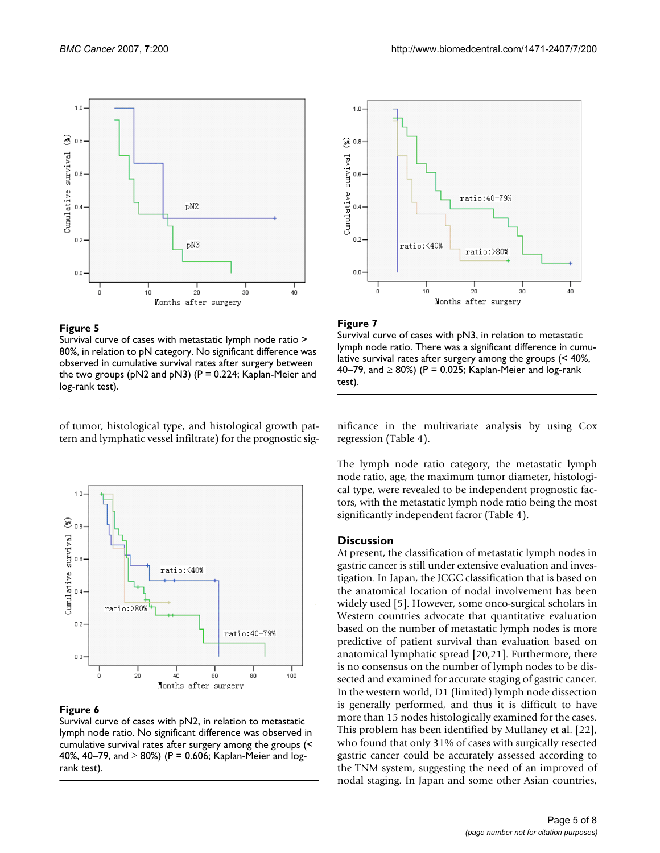

#### **Figure 5**

Survival curve of cases with metastatic lymph node ratio > 80%, in relation to pN category. No significant difference was observed in cumulative survival rates after surgery between the two groups ( $pN2$  and  $pN3$ ) ( $P = 0.224$ ; Kaplan-Meier and log-rank test).

of tumor, histological type, and histological growth pattern and lymphatic vessel infiltrate) for the prognostic sig-



#### Figure 6

Survival curve of cases with pN2, in relation to metastatic lymph node ratio. No significant difference was observed in cumulative survival rates after surgery among the groups (< 40%, 40–79, and  $\geq$  80%) (P = 0.606; Kaplan-Meier and logrank test).



#### Figure 7

Survival curve of cases with pN3, in relation to metastatic lymph node ratio. There was a significant difference in cumulative survival rates after surgery among the groups (< 40%, 40–79, and  $\geq$  80%) (P = 0.025; Kaplan-Meier and log-rank test).

nificance in the multivariate analysis by using Cox regression (Table 4).

The lymph node ratio category, the metastatic lymph node ratio, age, the maximum tumor diameter, histological type, were revealed to be independent prognostic factors, with the metastatic lymph node ratio being the most significantly independent facror (Table 4).

#### **Discussion**

At present, the classification of metastatic lymph nodes in gastric cancer is still under extensive evaluation and investigation. In Japan, the JCGC classification that is based on the anatomical location of nodal involvement has been widely used [5]. However, some onco-surgical scholars in Western countries advocate that quantitative evaluation based on the number of metastatic lymph nodes is more predictive of patient survival than evaluation based on anatomical lymphatic spread [20,21]. Furthermore, there is no consensus on the number of lymph nodes to be dissected and examined for accurate staging of gastric cancer. In the western world, D1 (limited) lymph node dissection is generally performed, and thus it is difficult to have more than 15 nodes histologically examined for the cases. This problem has been identified by Mullaney et al. [22], who found that only 31% of cases with surgically resected gastric cancer could be accurately assessed according to the TNM system, suggesting the need of an improved of nodal staging. In Japan and some other Asian countries,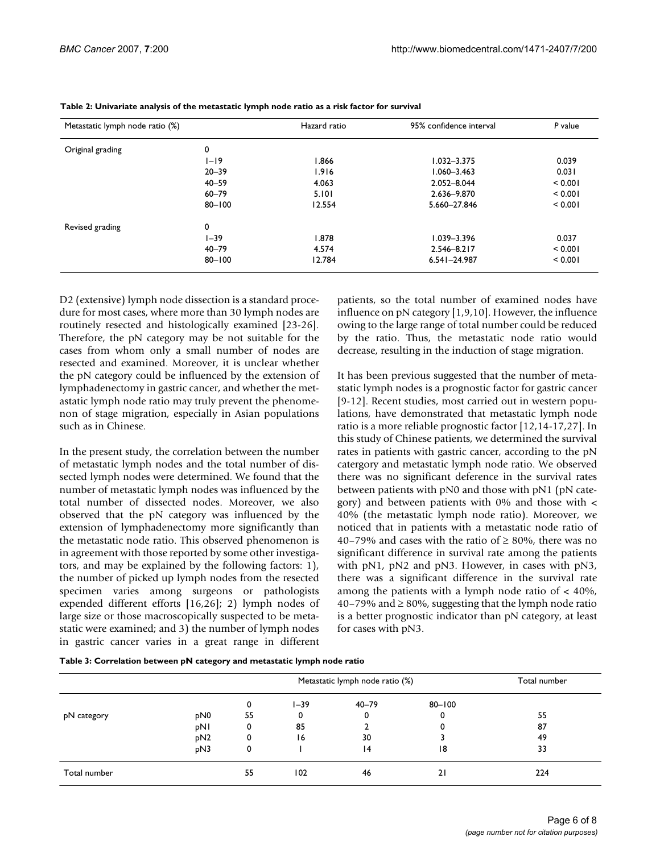| Metastatic lymph node ratio (%) |            | Hazard ratio | 95% confidence interval | P value |  |
|---------------------------------|------------|--------------|-------------------------|---------|--|
| Original grading                | 0          |              |                         |         |  |
|                                 | $I-I9$     | 1.866        | $1.032 - 3.375$         | 0.039   |  |
|                                 | $20 - 39$  | 1.916        | $1.060 - 3.463$         | 0.031   |  |
|                                 | $40 - 59$  | 4.063        | 2.052-8.044             | < 0.001 |  |
|                                 | $60 - 79$  | 5.101        | 2.636-9.870             | < 0.001 |  |
|                                 | $80 - 100$ | 12.554       | 5.660-27.846            | < 0.001 |  |
| Revised grading                 | 0          |              |                         |         |  |
|                                 | $1 - 39$   | 1.878        | $1.039 - 3.396$         | 0.037   |  |
|                                 | $40 - 79$  | 4.574        | 2.546-8.217             | < 0.001 |  |
|                                 | $80 - 100$ | 12.784       | $6.541 - 24.987$        | < 0.001 |  |

| Table 2: Univariate analysis of the metastatic lymph node ratio as a risk factor for survival |  |  |
|-----------------------------------------------------------------------------------------------|--|--|
|                                                                                               |  |  |

D2 (extensive) lymph node dissection is a standard procedure for most cases, where more than 30 lymph nodes are routinely resected and histologically examined [23-26]. Therefore, the pN category may be not suitable for the cases from whom only a small number of nodes are resected and examined. Moreover, it is unclear whether the pN category could be influenced by the extension of lymphadenectomy in gastric cancer, and whether the metastatic lymph node ratio may truly prevent the phenomenon of stage migration, especially in Asian populations such as in Chinese.

In the present study, the correlation between the number of metastatic lymph nodes and the total number of dissected lymph nodes were determined. We found that the number of metastatic lymph nodes was influenced by the total number of dissected nodes. Moreover, we also observed that the pN category was influenced by the extension of lymphadenectomy more significantly than the metastatic node ratio. This observed phenomenon is in agreement with those reported by some other investigators, and may be explained by the following factors: 1), the number of picked up lymph nodes from the resected specimen varies among surgeons or pathologists expended different efforts [16,26]; 2) lymph nodes of large size or those macroscopically suspected to be metastatic were examined; and 3) the number of lymph nodes in gastric cancer varies in a great range in different patients, so the total number of examined nodes have influence on pN category [1,9,10]. However, the influence owing to the large range of total number could be reduced by the ratio. Thus, the metastatic node ratio would decrease, resulting in the induction of stage migration.

It has been previous suggested that the number of metastatic lymph nodes is a prognostic factor for gastric cancer [9-12]. Recent studies, most carried out in western populations, have demonstrated that metastatic lymph node ratio is a more reliable prognostic factor [12,14-17,27]. In this study of Chinese patients, we determined the survival rates in patients with gastric cancer, according to the pN catergory and metastatic lymph node ratio. We observed there was no significant deference in the survival rates between patients with pN0 and those with pN1 (pN category) and between patients with  $0\%$  and those with  $\lt$ 40% (the metastatic lymph node ratio). Moreover, we noticed that in patients with a metastatic node ratio of 40–79% and cases with the ratio of  $\geq$  80%, there was no significant difference in survival rate among the patients with pN1, pN2 and pN3. However, in cases with pN3, there was a significant difference in the survival rate among the patients with a lymph node ratio of  $\lt$  40%, 40–79% and ≥ 80%, suggesting that the lymph node ratio is a better prognostic indicator than pN category, at least for cases with pN3.

|              |                 | Metastatic lymph node ratio (%) |          |           | Total number |     |
|--------------|-----------------|---------------------------------|----------|-----------|--------------|-----|
|              |                 | 0                               | $1 - 39$ | $40 - 79$ | $80 - 100$   |     |
| pN category  | pN <sub>0</sub> | 55                              |          | 0         | 0            | 55  |
|              | pNI             | 0                               | 85       |           | 0            | 87  |
|              | pN <sub>2</sub> | 0                               | 16       | 30        |              | 49  |
|              | pN3             | 0                               |          | 14        | 18           | 33  |
| Total number |                 | 55                              | 102      | 46        | 21           | 224 |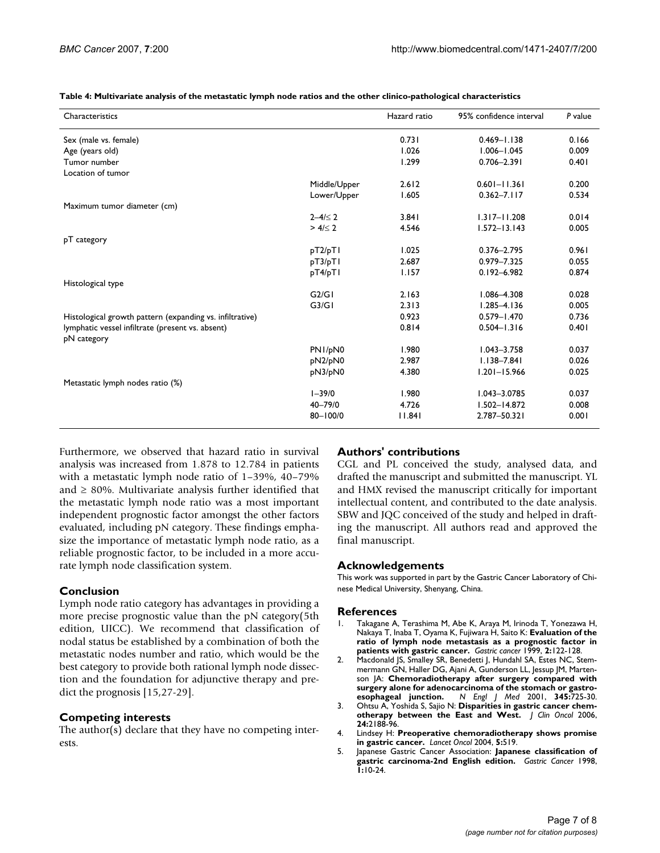**Table 4: Multivariate analysis of the metastatic lymph node ratios and the other clinico-pathological characteristics**

| Characteristics                                          |               | Hazard ratio | 95% confidence interval | P value |
|----------------------------------------------------------|---------------|--------------|-------------------------|---------|
| Sex (male vs. female)                                    |               | 0.731        | $0.469 - 1.138$         | 0.166   |
| Age (years old)                                          |               | 1.026        | $1.006 - 1.045$         | 0.009   |
| Tumor number                                             |               | 1.299        | $0.706 - 2.391$         | 0.401   |
| Location of tumor                                        |               |              |                         |         |
|                                                          | Middle/Upper  | 2.612        | $0.601 - 11.361$        | 0.200   |
|                                                          | Lower/Upper   | 1.605        | $0.362 - 7.117$         | 0.534   |
| Maximum tumor diameter (cm)                              |               |              |                         |         |
|                                                          | $2 - 4 \le 2$ | 3.841        | $1.317 - 11.208$        | 0.014   |
|                                                          | $> 4/\leq 2$  | 4.546        | $1.572 - 13.143$        | 0.005   |
| pT category                                              |               |              |                         |         |
|                                                          | pT2/pT1       | 1.025        | $0.376 - 2.795$         | 0.961   |
|                                                          | pT3/pT1       | 2.687        | 0.979-7.325             | 0.055   |
|                                                          | pT4/pT1       | 1.157        | $0.192 - 6.982$         | 0.874   |
| Histological type                                        |               |              |                         |         |
|                                                          | G2/G1         | 2.163        | $1.086 - 4.308$         | 0.028   |
|                                                          | G3/G1         | 2.313        | $1.285 - 4.136$         | 0.005   |
| Histological growth pattern (expanding vs. infiltrative) |               | 0.923        | $0.579 - 1.470$         | 0.736   |
| lymphatic vessel infiltrate (present vs. absent)         |               | 0.814        | $0.504 - 1.316$         | 0.401   |
| pN category                                              |               |              |                         |         |
|                                                          | PN1/pN0       | 1.980        | $1.043 - 3.758$         | 0.037   |
|                                                          | pN2/pN0       | 2.987        | $1.138 - 7.841$         | 0.026   |
|                                                          | pN3/pN0       | 4.380        | $1.201 - 15.966$        | 0.025   |
| Metastatic lymph nodes ratio (%)                         |               |              |                         |         |
|                                                          | $1 - 39/0$    | 1.980        | $1.043 - 3.0785$        | 0.037   |
|                                                          | $40 - 79/0$   | 4.726        | $1.502 - 14.872$        | 0.008   |
|                                                          | $80 - 100/0$  | 11.841       | 2.787-50.321            | 0.001   |

Furthermore, we observed that hazard ratio in survival analysis was increased from 1.878 to 12.784 in patients with a metastatic lymph node ratio of 1–39%, 40–79% and  $\geq$  80%. Multivariate analysis further identified that the metastatic lymph node ratio was a most important independent prognostic factor amongst the other factors evaluated, including pN category. These findings emphasize the importance of metastatic lymph node ratio, as a reliable prognostic factor, to be included in a more accurate lymph node classification system.

#### **Conclusion**

Lymph node ratio category has advantages in providing a more precise prognostic value than the pN category(5th edition, UICC). We recommend that classification of nodal status be established by a combination of both the metastatic nodes number and ratio, which would be the best category to provide both rational lymph node dissection and the foundation for adjunctive therapy and predict the prognosis [15,27-29].

#### **Competing interests**

The author(s) declare that they have no competing interests.

#### **Authors' contributions**

CGL and PL conceived the study, analysed data, and drafted the manuscript and submitted the manuscript. YL and HMX revised the manuscript critically for important intellectual content, and contributed to the date analysis. SBW and JQC conceived of the study and helped in drafting the manuscript. All authors read and approved the final manuscript.

#### **Acknowledgements**

This work was supported in part by the Gastric Cancer Laboratory of Chinese Medical University, Shenyang, China.

#### **References**

- 1. Takagane A, Terashima M, Abe K, Araya M, Irinoda T, Yonezawa H, Nakaya T, Inaba T, Oyama K, Fujiwara H, Saito K: **[Evaluation of the](http://www.ncbi.nlm.nih.gov/entrez/query.fcgi?cmd=Retrieve&db=PubMed&dopt=Abstract&list_uids=11957084) [ratio of lymph node metastasis as a prognostic factor in](http://www.ncbi.nlm.nih.gov/entrez/query.fcgi?cmd=Retrieve&db=PubMed&dopt=Abstract&list_uids=11957084) [patients with gastric cancer.](http://www.ncbi.nlm.nih.gov/entrez/query.fcgi?cmd=Retrieve&db=PubMed&dopt=Abstract&list_uids=11957084)** *Gastric cancer* 1999, **2:**122-128.
- 2. Macdonald JS, Smalley SR, Benedetti J, Hundahl SA, Estes NC, Stemmermann GN, Haller DG, Ajani A, Gunderson LL, Jessup JM, Martenson JA: **[Chemoradiotherapy after surgery compared with](http://www.ncbi.nlm.nih.gov/entrez/query.fcgi?cmd=Retrieve&db=PubMed&dopt=Abstract&list_uids=11547741)** surgery alone for adenocarcinoma of the stomach or gastro-<br>esophageal junction. N Engl J Med 2001, 345:725-30. **[esophageal junction.](http://www.ncbi.nlm.nih.gov/entrez/query.fcgi?cmd=Retrieve&db=PubMed&dopt=Abstract&list_uids=11547741)** *N Engl J Med* 2001, **345:**725-30.
- 3. Ohtsu A, Yoshida S, Sajio N: **[Disparities in gastric cancer chem](http://www.ncbi.nlm.nih.gov/entrez/query.fcgi?cmd=Retrieve&db=PubMed&dopt=Abstract&list_uids=16682738)[otherapy between the East and West.](http://www.ncbi.nlm.nih.gov/entrez/query.fcgi?cmd=Retrieve&db=PubMed&dopt=Abstract&list_uids=16682738)** *J Clin Oncol* 2006, **24:**2188-96.
- 4. Lindsey H: **[Preoperative chemoradiotherapy shows promise](http://www.ncbi.nlm.nih.gov/entrez/query.fcgi?cmd=Retrieve&db=PubMed&dopt=Abstract&list_uids=15384209) [in gastric cancer.](http://www.ncbi.nlm.nih.gov/entrez/query.fcgi?cmd=Retrieve&db=PubMed&dopt=Abstract&list_uids=15384209)** *Lancet Oncol* 2004, **5:**519.
- 5. Japanese Gastric Cancer Association: **[Japanese classification of](http://www.ncbi.nlm.nih.gov/entrez/query.fcgi?cmd=Retrieve&db=PubMed&dopt=Abstract&list_uids=11957040) [gastric carcinoma-2nd English edition.](http://www.ncbi.nlm.nih.gov/entrez/query.fcgi?cmd=Retrieve&db=PubMed&dopt=Abstract&list_uids=11957040)** *Gastric Cancer* 1998, **1:**10-24.